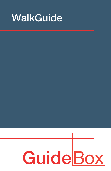# WalkGuide

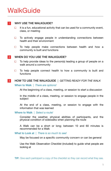# **WalkGuide**

### WHY USE THE WALKGUIDE? 1

- It is a fun, educational activity that can be used for a community event,  $\Box$ class, or meeting
- To actively engage people in understanding connections between  $\Box$ health and their environment
- $\Box$  To help people make connections between health and how a community is built and functions

#### WHEN DO YOU USE THE WALKGUIDE? 2

- To help provide ideas to the person(s) leading a group of people on a  $\Box$ walk around a community
- To help people connect health to how a community is built and  $\Box$ functions

#### HOW TO USE THE WALKGUIDE | *GETTING READY FOR THE WALK* 3

# When to Walk | *There are options!*

At the beginning of a class, meeting, or session to start a discussion

In the middle of a class, meeting, or session to engage people in the subject

At the end of a class, meeting, or session to engage with the information that was learned

## Where to Walk | *Select a route!*

Consider the weather, physical abilities of participants, and the physical condition of sidewalks when planning the route

A Walk can be a short or long; between 10 and 60 minutes is recommended for a Walk

What to Look at | *There is so much to see!*

May be focused on a specific community concern or can be general

Use the Walk Observation Checklist (included) to guide what people are looking at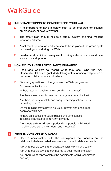# **WalkGuide**

# 4 IMPORTANT THINGS TO CONSIDER FOR YOUR WALK

- It is important to have a safety plan to be prepared for injuries, □ emergencies, or severe weather.
- The safety plan should include a buddy system and final meeting  $\Box$ location and time.
- A set meet-up location and time should be in place if the group splits  $\Box$ into small groups during the Walk
- $\Box$ Leaders and participants may want to bring water or snacks and have a watch or cell phone.

### HOW DO YOU KEEP PARTICIPANTS ENGAGED? 5

- Encourage walkers to record what they see using the Walk  $\Box$ Observation Checklist (included), taking notes, or using cell phones or cameras to take photos and videos.
- $\Box$ By asking questions to the group as the Walk progresses Some examples include:

Is there litter and trash on the ground or in the water?

Are there areas of environmental damage or contamination?

Are there barriers to safely and easily accessing schools, jobs, or healthy foods?

Do the building fronts providing visual interest and encourage people to walk by?

Is there safe access to public places and civic spaces, including libraries and community centers?

Are streets safe for all users: pedestrians, people with limited mobility, bicyclists, transit-riders, and motorists?

#### WHAT IS DONE AFTER A WALK? 6

Have a conversation with the participants that focuses on the  $\Box$ relationship between what was seen and how it relates to health.

Ask what people saw that encourages healthy living and safety

Ask what people saw that contributes to poor health and safety

Ask about what improvements the participants would recommend and why